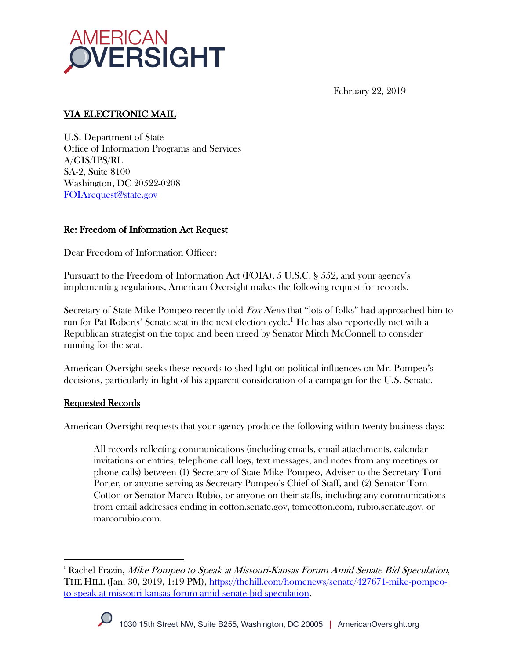

February 22, 2019

# VIA ELECTRONIC MAIL

U.S. Department of State Office of Information Programs and Services A/GIS/IPS/RL SA-2, Suite 8100 Washington, DC 20522-0208 FOIArequest@state.gov

### Re: Freedom of Information Act Request

Dear Freedom of Information Officer:

Pursuant to the Freedom of Information Act (FOIA), 5 U.S.C. § 552, and your agency's implementing regulations, American Oversight makes the following request for records.

Secretary of State Mike Pompeo recently told *Fox News* that "lots of folks" had approached him to run for Pat Roberts' Senate seat in the next election cycle.<sup>1</sup> He has also reportedly met with a Republican strategist on the topic and been urged by Senator Mitch McConnell to consider running for the seat.

American Oversight seeks these records to shed light on political influences on Mr. Pompeo's decisions, particularly in light of his apparent consideration of a campaign for the U.S. Senate.

### Requested Records

American Oversight requests that your agency produce the following within twenty business days:

All records reflecting communications (including emails, email attachments, calendar invitations or entries, telephone call logs, text messages, and notes from any meetings or phone calls) between (1) Secretary of State Mike Pompeo, Adviser to the Secretary Toni Porter, or anyone serving as Secretary Pompeo's Chief of Staff, and (2) Senator Tom Cotton or Senator Marco Rubio, or anyone on their staffs, including any communications from email addresses ending in cotton.senate.gov, tomcotton.com, rubio.senate.gov, or marcorubio.com.

 $^{\scriptscriptstyle 1}$  Rachel Frazin, *Mike Pompeo to Speak at Missouri-Kansas Forum Amid Senate Bid Speculation*, THE HILL (Jan. 30, 2019, 1:19 PM), https://thehill.com/homenews/senate/427671-mike-pompeoto-speak-at-missouri-kansas-forum-amid-senate-bid-speculation.



<u>.</u>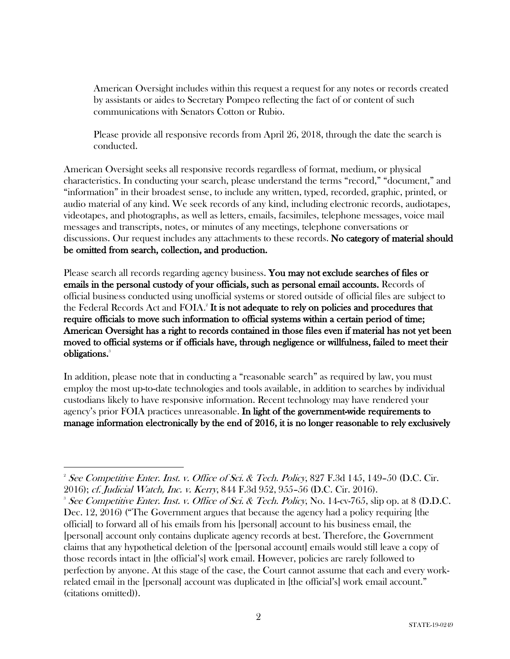American Oversight includes within this request a request for any notes or records created by assistants or aides to Secretary Pompeo reflecting the fact of or content of such communications with Senators Cotton or Rubio.

Please provide all responsive records from April 26, 2018, through the date the search is conducted.

American Oversight seeks all responsive records regardless of format, medium, or physical characteristics. In conducting your search, please understand the terms "record," "document," and "information" in their broadest sense, to include any written, typed, recorded, graphic, printed, or audio material of any kind. We seek records of any kind, including electronic records, audiotapes, videotapes, and photographs, as well as letters, emails, facsimiles, telephone messages, voice mail messages and transcripts, notes, or minutes of any meetings, telephone conversations or discussions. Our request includes any attachments to these records. No category of material should be omitted from search, collection, and production.

Please search all records regarding agency business. You may not exclude searches of files or emails in the personal custody of your officials, such as personal email accounts. Records of official business conducted using unofficial systems or stored outside of official files are subject to the Federal Records Act and  $\rm FOIA$ .<sup>2</sup> It is not adequate to rely on policies and procedures that require officials to move such information to official systems within a certain period of time; American Oversight has a right to records contained in those files even if material has not yet been moved to official systems or if officials have, through negligence or willfulness, failed to meet their obligations.<sup>3</sup>

In addition, please note that in conducting a "reasonable search" as required by law, you must employ the most up-to-date technologies and tools available, in addition to searches by individual custodians likely to have responsive information. Recent technology may have rendered your agency's prior FOIA practices unreasonable. In light of the government-wide requirements to manage information electronically by the end of 2016, it is no longer reasonable to rely exclusively

<sup>&</sup>lt;u>.</u> <sup>2</sup> See Competitive Enter. Inst. v. Office of Sci. & Tech. Policy, 827 F.3d 145, 149–50 (D.C. Cir. 2016); cf. Judicial Watch, Inc. v. Kerry, 844 F.3d 952, 955–56 (D.C. Cir. 2016). 3

<sup>&</sup>lt;sup>3</sup> See Competitive Enter. Inst. v. Office of Sci. & Tech. Policy, No. 14-cv-765, slip op. at 8 (D.D.C. Dec. 12, 2016) ("The Government argues that because the agency had a policy requiring [the official] to forward all of his emails from his [personal] account to his business email, the [personal] account only contains duplicate agency records at best. Therefore, the Government claims that any hypothetical deletion of the [personal account] emails would still leave a copy of those records intact in [the official's] work email. However, policies are rarely followed to perfection by anyone. At this stage of the case, the Court cannot assume that each and every workrelated email in the [personal] account was duplicated in [the official's] work email account." (citations omitted)).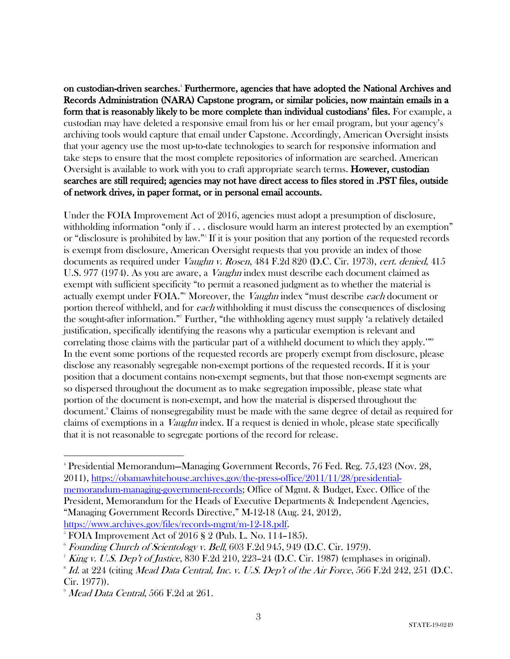on custodian-driven searches.4 Furthermore, agencies that have adopted the National Archives and Records Administration (NARA) Capstone program, or similar policies, now maintain emails in a form that is reasonably likely to be more complete than individual custodians' files. For example, a custodian may have deleted a responsive email from his or her email program, but your agency's archiving tools would capture that email under Capstone. Accordingly, American Oversight insists that your agency use the most up-to-date technologies to search for responsive information and take steps to ensure that the most complete repositories of information are searched. American Oversight is available to work with you to craft appropriate search terms. However, custodian searches are still required; agencies may not have direct access to files stored in .PST files, outside of network drives, in paper format, or in personal email accounts.

Under the FOIA Improvement Act of 2016, agencies must adopt a presumption of disclosure, withholding information "only if . . . disclosure would harm an interest protected by an exemption" or "disclosure is prohibited by law."5 If it is your position that any portion of the requested records is exempt from disclosure, American Oversight requests that you provide an index of those documents as required under *Vaughn v. Rosen*, 484 F.2d 820 (D.C. Cir. 1973), cert. denied, 415 U.S. 977 (1974). As you are aware, a *Vaughn* index must describe each document claimed as exempt with sufficient specificity "to permit a reasoned judgment as to whether the material is actually exempt under FOIA."<sup>6</sup> Moreover, the *Vaughn* index "must describe *each* document or portion thereof withheld, and for each withholding it must discuss the consequences of disclosing the sought-after information."7 Further, "the withholding agency must supply 'a relatively detailed justification, specifically identifying the reasons why a particular exemption is relevant and correlating those claims with the particular part of a withheld document to which they apply.'"<sup>8</sup> In the event some portions of the requested records are properly exempt from disclosure, please disclose any reasonably segregable non-exempt portions of the requested records. If it is your position that a document contains non-exempt segments, but that those non-exempt segments are so dispersed throughout the document as to make segregation impossible, please state what portion of the document is non-exempt, and how the material is dispersed throughout the document.9 Claims of nonsegregability must be made with the same degree of detail as required for claims of exemptions in a Vaughn index. If a request is denied in whole, please state specifically that it is not reasonable to segregate portions of the record for release.

<u>.</u>

<sup>4</sup> Presidential Memorandum—Managing Government Records, 76 Fed. Reg. 75,423 (Nov. 28, 2011), https://obamawhitehouse.archives.gov/the-press-office/2011/11/28/presidentialmemorandum-managing-government-records; Office of Mgmt. & Budget, Exec. Office of the President, Memorandum for the Heads of Executive Departments & Independent Agencies, "Managing Government Records Directive," M-12-18 (Aug. 24, 2012),

https://www.archives.gov/files/records-mgmt/m-12-18.pdf.<br>
<sup>5</sup> FOIA Improvement Act of 2016 § 2 (Pub. L. No. 114–185).

 $6$  Founding Church of Scientology v. Bell,  $603$  F.2d  $945$ ,  $949$  (D.C. Cir. 1979).

<sup>&</sup>lt;sup>7</sup> King v. U.S. Dep't of Justice, 830 F.2d 210, 223–24 (D.C. Cir. 1987) (emphases in original).

 $\delta$  Id. at 224 (citing Mead Data Central, Inc. v. U.S. Dep't of the Air Force, 566 F.2d 242, 251 (D.C. Cir. 1977)).

 $^{\circ}$  *Mead Data Central, 566 F.2d at 261.*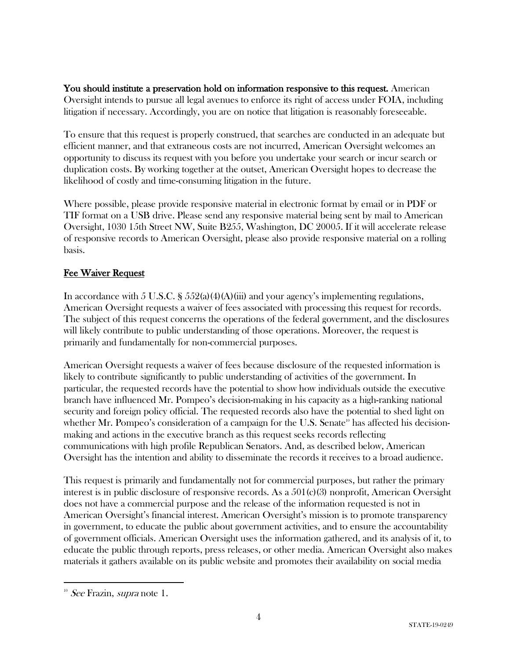You should institute a preservation hold on information responsive to this request. American Oversight intends to pursue all legal avenues to enforce its right of access under FOIA, including litigation if necessary. Accordingly, you are on notice that litigation is reasonably foreseeable.

To ensure that this request is properly construed, that searches are conducted in an adequate but efficient manner, and that extraneous costs are not incurred, American Oversight welcomes an opportunity to discuss its request with you before you undertake your search or incur search or duplication costs. By working together at the outset, American Oversight hopes to decrease the likelihood of costly and time-consuming litigation in the future.

Where possible, please provide responsive material in electronic format by email or in PDF or TIF format on a USB drive. Please send any responsive material being sent by mail to American Oversight, 1030 15th Street NW, Suite B255, Washington, DC 20005. If it will accelerate release of responsive records to American Oversight, please also provide responsive material on a rolling basis.

## Fee Waiver Request

In accordance with 5 U.S.C. §  $552(a)(4)(A)(iii)$  and your agency's implementing regulations, American Oversight requests a waiver of fees associated with processing this request for records. The subject of this request concerns the operations of the federal government, and the disclosures will likely contribute to public understanding of those operations. Moreover, the request is primarily and fundamentally for non-commercial purposes.

American Oversight requests a waiver of fees because disclosure of the requested information is likely to contribute significantly to public understanding of activities of the government. In particular, the requested records have the potential to show how individuals outside the executive branch have influenced Mr. Pompeo's decision-making in his capacity as a high-ranking national security and foreign policy official. The requested records also have the potential to shed light on whether Mr. Pompeo's consideration of a campaign for the U.S. Senate<sup>10</sup> has affected his decisionmaking and actions in the executive branch as this request seeks records reflecting communications with high profile Republican Senators. And, as described below, American Oversight has the intention and ability to disseminate the records it receives to a broad audience.

This request is primarily and fundamentally not for commercial purposes, but rather the primary interest is in public disclosure of responsive records. As a 501(c)(3) nonprofit, American Oversight does not have a commercial purpose and the release of the information requested is not in American Oversight's financial interest. American Oversight's mission is to promote transparency in government, to educate the public about government activities, and to ensure the accountability of government officials. American Oversight uses the information gathered, and its analysis of it, to educate the public through reports, press releases, or other media. American Oversight also makes materials it gathers available on its public website and promotes their availability on social media

<u>.</u>

 $10^{\circ}$  See Frazin, supra note 1.